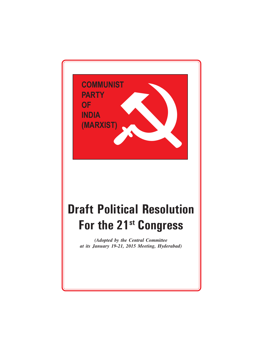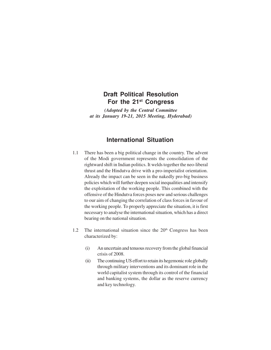# **Draft Political Resolution For the 21st Congress**

*(Adopted by the Central Committee at its January 19-21, 2015 Meeting, Hyderabad)*

# **International Situation**

- 1.1 There has been a big political change in the country. The advent of the Modi government represents the consolidation of the rightward shift in Indian politics. It welds together the neo-liberal thrust and the Hindutva drive with a pro-imperialist orientation. Already the impact can be seen in the nakedly pro-big business policies which will further deepen social inequalities and intensify the exploitation of the working people. This combined with the offensive of the Hindutva forces poses new and serious challenges to our aim of changing the correlation of class forces in favour of the working people. To properly appreciate the situation, it is first necessary to analyse the international situation, which has a direct bearing on the national situation.
- 1.2 The international situation since the  $20<sup>th</sup>$  Congress has been characterized by:
	- (i) An uncertain and tenuous recovery from the global financial crisis of 2008.
	- (ii) The continuing US effort to retain its hegemonic role globally through military interventions and its dominant role in the world capitalist system through its control of the financial and banking systems, the dollar as the reserve currency and key technology.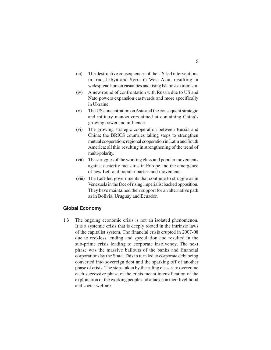- (iii) The destructive consequences of the US-led interventions in Iraq, Libya and Syria in West Asia, resulting in widespread human casualties and rising Islamist extremism.
- (iv) A new round of confrontation with Russia due to US and Nato powers expansion eastwards and more specifically in Ukraine.
- (v) The US concentration on Asia and the consequent strategic and military manoeuvres aimed at containing China's growing power and influence.
- (vi) The growing strategic cooperation between Russia and China; the BRICS countries taking steps to strengthen mutual cooperation; regional cooperation in Latin and South America; all this resulting in strengthening of the trend of multi-polarity.
- (vii) The struggles of the working class and popular movements against austerity measures in Europe and the emergence of new Left and popular parties and movements.
- (viii) The Left-led governments that continue to struggle as in Venezuela in the face of rising imperialist backed opposition. They have maintained their support for an alternative path as in Bolivia, Uruguay and Ecuador.

#### **Global Economy**

1.3 The ongoing economic crisis is not an isolated phenomenon. It is a systemic crisis that is deeply rooted in the intrinsic laws of the capitalist system. The financial crisis erupted in 2007-08 due to reckless lending and speculation and resulted in the sub-prime crisis leading to corporate insolvency. The next phase was the massive bailouts of the banks and financial corporations by the State. This in turn led to corporate debt being converted into sovereign debt and the sparking off of another phase of crisis. The steps taken by the ruling classes to overcome each successive phase of the crisis meant intensification of the exploitation of the working people and attacks on their livelihood and social welfare.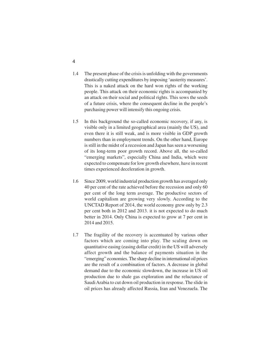- 1.4 The present phase of the crisis is unfolding with the governments drastically cutting expenditures by imposing 'austerity measures'. This is a naked attack on the hard won rights of the working people. This attack on their economic rights is accompanied by an attack on their social and political rights. This sows the seeds of a future crisis, where the consequent decline in the people's purchasing power will intensify this ongoing crisis.
- 1.5 In this background the so-called economic recovery, if any, is visible only in a limited geographical area (mainly the US), and even there it is still weak, and is more visible in GDP growth numbers than in employment trends. On the other hand, Europe is still in the midst of a recession and Japan has seen a worsening of its long-term poor growth record. Above all, the so-called "emerging markets", especially China and India, which were expected to compensate for low growth elsewhere, have in recent times experienced deceleration in growth.
- 1.6 Since 2009, world industrial production growth has averaged only 40 per cent of the rate achieved before the recession and only 60 per cent of the long term average. The productive sectors of world capitalism are growing very slowly. According to the UNCTAD Report of 2014, the world economy grew only by 2.3 per cent both in 2012 and 2013. it is not expected to do much better in 2014. Only China is expected to grow at 7 per cent in 2014 and 2015.
- 1.7 The fragility of the recovery is accentuated by various other factors which are coming into play. The scaling down on quantitative easing (easing dollar credit) in the US will adversely affect growth and the balance of payments situation in the "emerging" economies. The sharp decline in international oil prices are the result of a combination of factors. A decrease in global demand due to the economic slowdown, the increase in US oil production due to shale gas exploration and the reluctance of Saudi Arabia to cut down oil production in response. The slide in oil prices has already affected Russia, Iran and Venezuela. The

4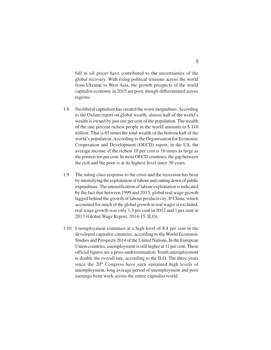fall in oil prices have contributed to the uncertainties of the global recovery. With rising political tensions across the world from Ukraine to West Asia, the growth prospects of the world capitalist economy in 2015 are poor, though differentiated across regions.

- 1.8 Neoliberal capitalism has created the worst inequalities. According to the Oxfam report on global wealth, almost half of the world's wealth is owned by just one per cent of the population. The wealth of the one percent richest people in the world amounts to \$ 110 trillion. That is 65 times the total wealth of the bottom half of the world's population. According to the Organisation for Economic Cooperation and Development (OECD) report, in the US, the average income of the richest 10 per cent is 16 times as large as the poorest ten per cent. In most OECD countries, the gap between the rich and the poor is at its highest level since 30 years.
- 1.9 The ruling class response to the crisis and the recession has been by intensifying the exploitation of labour and cutting down of public expenditure. The intensification of labour exploitation is indicated by the fact that between 1999 and 2013, global real wage growth lagged behind the growth of labour productivity. If China, which accounted for much of the global growth in real wages is excluded, real wage growth was only 1.3 per cent in 2012 and 1 per cent in 2013 (Global Wage Report, 2014-15, ILO).
- 1.10 Unemployment continues at a high level of 8.4 per cent in the developed capitalist countries, according to the World Economic Studies and Prospects 2014 of the United Nations. In the European Union countries, unemployment is still higher at 11 per cent. These official figures are a gross underestimation. Youth unemployment is double the overall rate, according to the ILO. The three years since the  $20<sup>th</sup>$  Congress have seen sustained high levels of unemployment, long average period of unemployment and poor earnings from work across the entire capitalist world.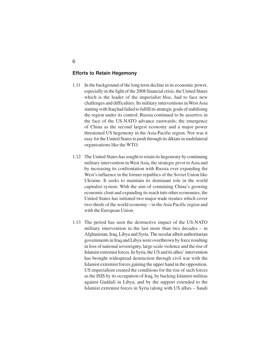## **Efforts to Retain Hegemony**

- 1.11 In the background of the long term decline in its economic power, especially in the light of the 2008 financial crisis, the United States which is the leader of the imperialist bloc, had to face new challenges and difficulties. Its military interventions in West Asia starting with Iraq had failed to fulfill its strategic goals of stabilising the region under its control; Russia continued to be assertive in the face of the US-NATO advance eastwards; the emergence of China as the second largest economy and a major power threatened US hegemony in the Asia-Pacific region. Nor was it easy for the United States to push through its diktats in multilateral organisations like the WTO.
- 1.12 The United States has sought to retain its hegemony by continuing military intervention in West Asia, the strategic pivot to Asia and by increasing its confrontation with Russia over expanding the West's influence in the former republics of the Soviet Union like Ukraine. It seeks to maintain its dominant role in the world capitalist system. With the aim of containing China's growing economic clout and expanding its reach into other economies, the United States has initiated two major trade treaties which cover two-thirds of the world economy – in the Asia Pacific region and with the European Union.
- 1.13 The period has seen the destructive impact of the US-NATO military intervention in the last more than two decades – in Afghanistan, Iraq, Libya and Syria. The secular albeit authoritarian governments in Iraq and Libya were overthrown by force resulting in loss of national sovereignty, large scale violence and the rise of Islamist extremist forces. In Syria, the US and its allies' intervention has brought widespread destruction through civil war with the Islamist extremist forces gaining the upper hand in the opposition. US imperialism created the conditions for the rise of such forces as the ISIS by its occupation of Iraq, by backing Islamist militias against Gaddafi in Libya, and by the support extended to the Islamist extremist forces in Syria (along with US allies – Saudi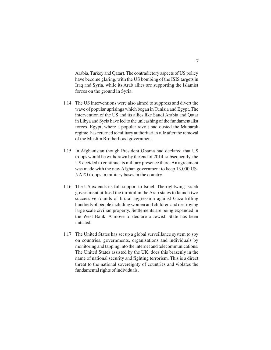Arabia, Turkey and Qatar). The contradictory aspects of US policy have become glaring, with the US bombing of the ISIS targets in Iraq and Syria, while its Arab allies are supporting the Islamist forces on the ground in Syria.

- 1.14 The US interventions were also aimed to suppress and divert the wave of popular uprisings which began in Tunisia and Egypt. The intervention of the US and its allies like Saudi Arabia and Qatar in Libya and Syria have led to the unleashing of the fundamentalist forces. Egypt, where a popular revolt had ousted the Mubarak regime, has returned to military authoritarian rule after the removal of the Muslim Brotherhood government.
- 1.15 In Afghanistan though President Obama had declared that US troops would be withdrawn by the end of 2014, subsequently, the US decided to continue its military presence there. An agreement was made with the new Afghan government to keep 13,000 US-NATO troops in military bases in the country.
- 1.16 The US extends its full support to Israel. The rightwing Israeli government utilised the turmoil in the Arab states to launch two successive rounds of brutal aggression against Gaza killing hundreds of people including women and children and destroying large scale civilian property. Settlements are being expanded in the West Bank. A move to declare a Jewish State has been initiated.
- 1.17 The United States has set up a global surveillance system to spy on countries, governments, organisations and individuals by monitoring and tapping into the internet and telecommunications. The United States assisted by the UK, does this brazenly in the name of national security and fighting terrorism. This is a direct threat to the national sovereignty of countries and violates the fundamental rights of individuals.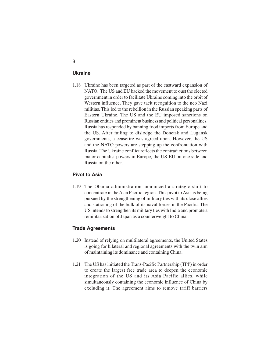### **Ukraine**

1.18 Ukraine has been targeted as part of the eastward expansion of NATO. The US and EU backed the movement to oust the elected government in order to facilitate Ukraine coming into the orbit of Western influence. They gave tacit recognition to the neo Nazi militias. This led to the rebellion in the Russian speaking parts of Eastern Ukraine. The US and the EU imposed sanctions on Russian entities and prominent business and political personalities. Russia has responded by banning food imports from Europe and the US. After failing to dislodge the Donetsk and Lugansk governments, a ceasefire was agreed upon. However, the US and the NATO powers are stepping up the confrontation with Russia. The Ukraine conflict reflects the contradictions between major capitalist powers in Europe, the US-EU on one side and Russia on the other.

# **Pivot to Asia**

1.19 The Obama administration announced a strategic shift to concentrate in the Asia Pacific region. This pivot to Asia is being pursued by the strengthening of military ties with its close allies and stationing of the bulk of its naval forces in the Pacific. The US intends to strengthen its military ties with India and promote a remilitarization of Japan as a counterweight to China.

#### **Trade Agreements**

- 1.20 Instead of relying on multilateral agreements, the United States is going for bilateral and regional agreements with the twin aim of maintaining its dominance and containing China.
- 1.21 The US has initiated the Trans-Pacific Partnership (TPP) in order to create the largest free trade area to deepen the economic integration of the US and its Asia Pacific allies, while simultaneously containing the economic influence of China by excluding it. The agreement aims to remove tariff barriers

## 8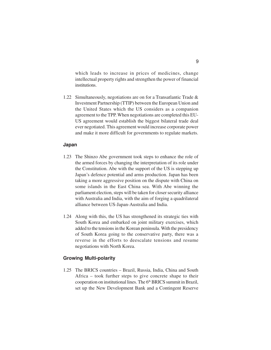which leads to increase in prices of medicines, change intellectual property rights and strengthen the power of financial institutions.

1.22 Simultaneously, negotiations are on for a Transatlantic Trade & Investment Partnership (TTIP) between the European Union and the United States which the US considers as a companion agreement to the TPP. When negotiations are completed this EU-US agreement would establish the biggest bilateral trade deal ever negotiated. This agreement would increase corporate power and make it more difficult for governments to regulate markets.

#### **Japan**

- 1.23 The Shinzo Abe government took steps to enhance the role of the armed forces by changing the interpretation of its role under the Constitution. Abe with the support of the US is stepping up Japan's defence potential and arms production. Japan has been taking a more aggressive position on the dispute with China on some islands in the East China sea. With Abe winning the parliament election, steps will be taken for closer security alliance with Australia and India, with the aim of forging a quadrilateral alliance between US-Japan-Australia and India.
- 1.24 Along with this, the US has strengthened its strategic ties with South Korea and embarked on joint military exercises, which added to the tensions in the Korean peninsula. With the presidency of South Korea going to the conservative party, there was a reverse in the efforts to deescalate tensions and resume negotiations with North Korea.

## **Growing Multi-polarity**

1.25 The BRICS countries – Brazil, Russia, India, China and South Africa – took further steps to give concrete shape to their cooperation on institutional lines. The 6<sup>th</sup> BRICS summit in Brazil, set up the New Development Bank and a Contingent Reserve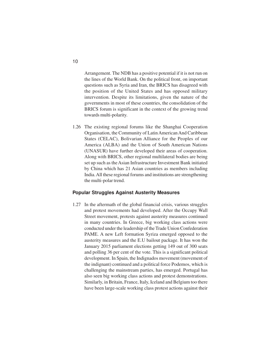Arrangement. The NDB has a positive potential if it is not run on the lines of the World Bank. On the political front, on important questions such as Syria and Iran, the BRICS has disagreed with the position of the United States and has opposed military intervention. Despite its limitations, given the nature of the governments in most of these countries, the consolidation of the BRICS forum is significant in the context of the growing trend towards multi-polarity.

1.26 The existing regional forums like the Shanghai Cooperation Organisation, the Community of Latin American And Caribbean States (CELAC), Bolivarian Alliance for the Peoples of our America (ALBA) and the Union of South American Nations (UNASUR) have further developed their areas of cooperation. Along with BRICS, other regional multilateral bodies are being set up such as the Asian Infrastructure Investment Bank initiated by China which has 21 Asian countries as members including India. All these regional forums and institutions are strengthening the multi-polar trend.

#### **Popular Struggles Against Austerity Measures**

1.27 In the aftermath of the global financial crisis, various struggles and protest movements had developed. After the Occupy Wall Street movement, protests against austerity measures continued in many countries. In Greece, big working class actions were conducted under the leadership of the Trade Union Confederation PAME. A new Left formation Syriza emerged opposed to the austerity measures and the E.U bailout package. It has won the January 2015 parliament elections getting 149 out of 300 seats and polling 36 per cent of the vote. This is a significant political development. In Spain, the Indignados movement (movement of the indignant) continued and a political force Podemos, which is challenging the mainstream parties, has emerged. Portugal has also seen big working class actions and protest demonstrations. Similarly, in Britain, France, Italy, Iceland and Belgium too there have been large-scale working class protest actions against their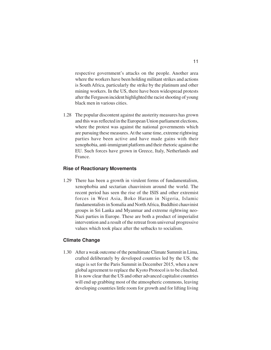respective government's attacks on the people. Another area where the workers have been holding militant strikes and actions is South Africa, particularly the strike by the platinum and other mining workers. In the US, there have been widespread protests after the Ferguson incident highlighted the racist shooting of young black men in various cities.

1.28 The popular discontent against the austerity measures has grown and this was reflected in the European Union parliament elections, where the protest was against the national governments which are pursuing these measures. At the same time, extreme rightwing parties have been active and have made gains with their xenophobia, anti-immigrant platform and their rhetoric against the EU. Such forces have grown in Greece, Italy, Netherlands and France.

#### **Rise of Reactionary Movements**

1.29 There has been a growth in virulent forms of fundamentalism, xenophobia and sectarian chauvinism around the world. The recent period has seen the rise of the ISIS and other extremist forces in West Asia, Boko Haram in Nigeria, Islamic fundamentalists in Somalia and North Africa, Buddhist chauvinist groups in Sri Lanka and Myanmar and extreme rightwing neo-Nazi parties in Europe. These are both a product of imperialist intervention and a result of the retreat from universal progressive values which took place after the setbacks to socialism.

# **Climate Change**

1.30 After a weak outcome of the penultimate Climate Summit in Lima, crafted deliberately by developed countries led by the US, the stage is set for the Paris Summit in December 2015, when a new global agreement to replace the Kyoto Protocol is to be clinched. It is now clear that the US and other advanced capitalist countries will end up grabbing most of the atmospheric commons, leaving developing countries little room for growth and for lifting living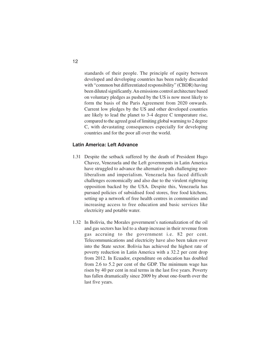standards of their people. The principle of equity between developed and developing countries has been rudely discarded with "common but differentiated responsibility" (CBDR) having been diluted significantly. An emissions control architecture based on voluntary pledges as pushed by the US is now most likely to form the basis of the Paris Agreement from 2020 onwards. Current low pledges by the US and other developed countries are likely to lead the planet to 3-4 degree C temperature rise, compared to the agreed goal of limiting global warming to 2 degree C, with devastating consequences especially for developing countries and for the poor all over the world.

#### **Latin America: Left Advance**

- 1.31 Despite the setback suffered by the death of President Hugo Chavez, Venezuela and the Left governments in Latin America have struggled to advance the alternative path challenging neoliberalism and imperialism. Venezuela has faced difficult challenges economically and also due to the virulent rightwing opposition backed by the USA. Despite this, Venezuela has pursued policies of subsidised food stores, free food kitchens, setting up a network of free health centres in communities and increasing access to free education and basic services like electricity and potable water.
- 1.32 In Bolivia, the Morales government's nationalization of the oil and gas sectors has led to a sharp increase in their revenue from gas accruing to the government i.e. 82 per cent. Telecommunications and electricity have also been taken over into the State sector. Bolivia has achieved the highest rate of poverty reduction in Latin America with a 32.2 per cent drop from 2012. In Ecuador, expenditure on education has doubled from 2.6 to 5.2 per cent of the GDP. The minimum wage has risen by 40 per cent in real terms in the last five years. Poverty has fallen dramatically since 2009 by about one-fourth over the last five years.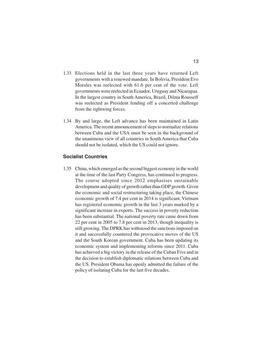- 1.33 Elections held in the last three years have returned Left governments with a renewed mandate. In Bolivia, President Evo Morales was reelected with 61.6 per cent of the vote. Left governments were reelected in Ecuador, Uruguay and Nicaragua. In the largest country in South America, Brazil, Dilma Rousseff was reelected as President fending off a concerted challenge from the rightwing forces.
- 1.34 By and large, the Left advance has been maintained in Latin America. The recent announcement of steps to normalize relations between Cuba and the USA must be seen in the background of the unanimous view of all countries in South America that Cuba should not be isolated, which the US could not ignore.

# **Socialist Countries**

1.35 China, which emerged as the second biggest economy in the world at the time of the last Party Congress, has continued to progress. The course adopted since 2012 emphasises sustainable development and quality of growth rather than GDP growth. Given the economic and social restructuring taking place, the Chinese economic growth of 7.4 per cent in 2014 is significant. Vietnam has registered economic growth in the last 3 years marked by a significant increase in exports. The success in poverty reduction has been substantial. The national poverty rate came down from 22 per cent in 2005 to 7.8 per cent in 2013, though inequality is still growing. The DPRK has withstood the sanctions imposed on it and successfully countered the provocative moves of the US and the South Korean government. Cuba has been updating its economic system and implementing reforms since 2011. Cuba has achieved a big victory in the release of the Cuban Five and in the decision to establish diplomatic relations between Cuba and the US. President Obama has openly admitted the failure of the policy of isolating Cuba for the last five decades.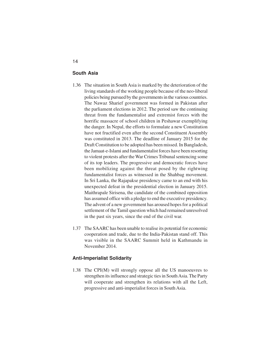# **South Asia**

- 1.36 The situation in South Asia is marked by the deterioration of the living standards of the working people because of the neo-liberal policies being pursued by the governments in the various countries. The Nawaz Sharief government was formed in Pakistan after the parliament elections in 2012. The period saw the continuing threat from the fundamentalist and extremist forces with the horrific massacre of school children in Peshawar exemplifying the danger. In Nepal, the efforts to formulate a new Constitution have not fructified even after the second Constituent Assembly was constituted in 2013. The deadline of January 2015 for the Draft Constitution to be adopted has been missed. In Bangladesh, the Jamaat-e-Islami and fundamentalist forces have been resorting to violent protests after the War Crimes Tribunal sentencing some of its top leaders. The progressive and democratic forces have been mobilizing against the threat posed by the rightwing fundamentalist forces as witnessed in the Shahbag movement. In Sri Lanka, the Rajapakse presidency came to an end with his unexpected defeat in the presidential election in January 2015. Maithrapale Sirisena, the candidate of the combined opposition has assumed office with a pledge to end the executive presidency. The advent of a new government has aroused hopes for a political settlement of the Tamil question which had remained unresolved in the past six years, since the end of the civil war.
- 1.37 The SAARC has been unable to realise its potential for economic cooperation and trade, due to the India-Pakistan stand off. This was visible in the SAARC Summit held in Kathmandu in November 2014.

#### **Anti-Imperialist Solidarity**

1.38 The CPI(M) will strongly oppose all the US manoeuvres to strengthen its influence and strategic ties in South Asia. The Party will cooperate and strengthen its relations with all the Left, progressive and anti-imperialist forces in South Asia.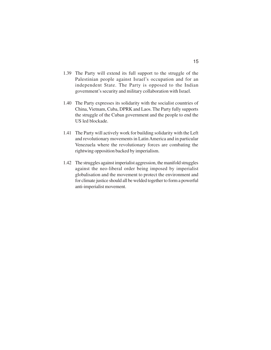- 1.39 The Party will extend its full support to the struggle of the Palestinian people against Israel's occupation and for an independent State. The Party is opposed to the Indian government's security and military collaboration with Israel.
- 1.40 The Party expresses its solidarity with the socialist countries of China, Vietnam, Cuba, DPRK and Laos. The Party fully supports the struggle of the Cuban government and the people to end the US led blockade.
- 1.41 The Party will actively work for building solidarity with the Left and revolutionary movements in Latin America and in particular Venezuela where the revolutionary forces are combating the rightwing opposition backed by imperialism.
- 1.42 The struggles against imperialist aggression, the manifold struggles against the neo-liberal order being imposed by imperialist globalisation and the movement to protect the environment and for climate justice should all be welded together to form a powerful anti-imperialist movement.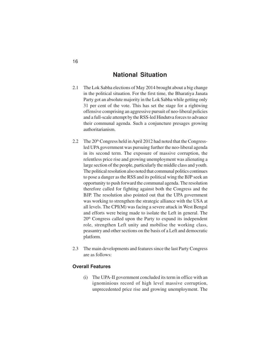# **National Situation**

- 2.1 The Lok Sabha elections of May 2014 brought about a big change in the political situation. For the first time, the Bharatiya Janata Party got an absolute majority in the Lok Sabha while getting only 31 per cent of the vote. This has set the stage for a rightwing offensive comprising an aggressive pursuit of neo-liberal policies and a full-scale attempt by the RSS-led Hindutva forces to advance their communal agenda. Such a conjuncture presages growing authoritarianism.
- 2.2 The 20<sup>th</sup> Congress held in April 2012 had noted that the Congressled UPA government was pursuing further the neo-liberal agenda in its second term. The exposure of massive corruption, the relentless price rise and growing unemployment was alienating a large section of the people, particularly the middle class and youth. The political resolution also noted that communal politics continues to pose a danger as the RSS and its political wing the BJP seek an opportunity to push forward the communal agenda. The resolution therefore called for fighting against both the Congress and the BJP. The resolution also pointed out that the UPA government was working to strengthen the strategic alliance with the USA at all levels. The CPI(M) was facing a severe attack in West Bengal and efforts were being made to isolate the Left in general. The 20th Congress called upon the Party to expand its independent role, strengthen Left unity and mobilise the working class, peasantry and other sections on the basis of a Left and democratic platform.
- 2.3 The main developments and features since the last Party Congress are as follows:

# **Overall Features**

(i) The UPA-II government concluded its term in office with an ignominious record of high level massive corruption, unprecedented price rise and growing unemployment. The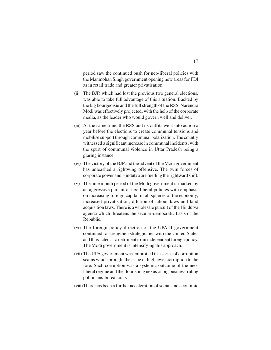period saw the continued push for neo-liberal policies with the Manmohan Singh government opening new areas for FDI as in retail trade and greater privatisation.

- (ii) The BJP, which had lost the previous two general elections, was able to take full advantage of this situation. Backed by the big bourgeoisie and the full strength of the RSS, Narendra Modi was effectively projected, with the help of the corporate media, as the leader who would govern well and deliver.
- (iii) At the same time, the RSS and its outfits went into action a year before the elections to create communal tensions and mobilise support through communal polarization. The country witnessed a significant increase in communal incidents, with the spurt of communal violence in Uttar Pradesh being a glaring instance.
- (iv) The victory of the BJP and the advent of the Modi government has unleashed a rightwing offensive. The twin forces of corporate power and Hindutva are fuelling the rightward shift.
- (v) The nine month period of the Modi government is marked by an aggressive pursuit of neo-liberal policies with emphasis on increasing foreign capital in all spheres of the economy; increased privatisation; dilution of labour laws and land acquisition laws. There is a wholesale pursuit of the Hindutva agenda which threatens the secular-democratic basis of the Republic.
- (vi) The foreign policy direction of the UPA II government continued to strengthen strategic ties with the United States and thus acted as a detriment to an independent foreign policy. The Modi government is intensifying this approach.
- (vii) The UPA government was embroiled in a series of corruption scams which brought the issue of high level corruption to the fore. Such corruption was a systemic outcome of the neoliberal regime and the flourishing nexus of big business-ruling politicians-bureaucrats.
- (viii)There has been a further acceleration of social and economic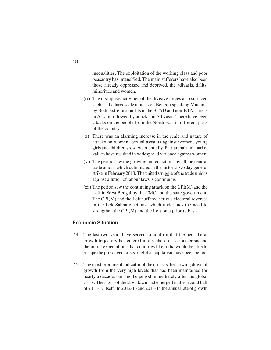inequalities. The exploitation of the working class and poor peasantry has intensified. The main sufferers have also been those already oppressed and deprived, the adivasis, dalits, minorities and women.

- (ix) The disruptive activities of the divisive forces also surfaced such as the largescale attacks on Bengali speaking Muslims by Bodo extremist outfits in the BTAD and non-BTAD areas in Assam followed by attacks on Adivasis. There have been attacks on the people from the North East in different parts of the country.
- (x) There was an alarming increase in the scale and nature of attacks on women. Sexual assaults against women, young girls and children grew exponentially. Patriarchal and market values have resulted in widespread violence against women.
- (xi) The period saw the growing united actions by all the central trade unions which culminated in the historic two day general strike in February 2013. The united struggle of the trade unions against dilution of labour laws is continuing.
- (xii) The period saw the continuing attack on the CPI(M) and the Left in West Bengal by the TMC and the state government. The CPI(M) and the Left suffered serious electoral reverses in the Lok Sabha elections, which underlines the need to strengthen the CPI(M) and the Left on a priority basis.

# **Economic Situation**

- 2.4 The last two years have served to confirm that the neo-liberal growth trajectory has entered into a phase of serious crisis and the initial expectations that countries like India would be able to escape the prolonged crisis of global capitalism have been belied.
- 2.5 The most prominent indicator of the crisis is the slowing down of growth from the very high levels that had been maintained for nearly a decade, barring the period immediately after the global crisis. The signs of the slowdown had emerged in the second half of 2011-12 itself. In 2012-13 and 2013-14 the annual rate of growth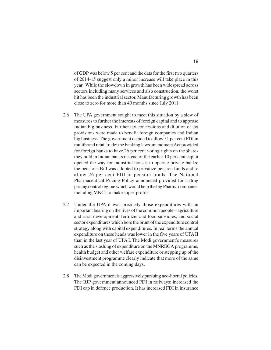of GDP was below 5 per cent and the data for the first two quarters of 2014-15 suggest only a minor increase will take place in this year. While the slowdown in growth has been widespread across sectors including many services and also construction, the worst hit has been the industrial sector. Manufacturing growth has been close to zero for more than 40 months since July 2011.

- 2.6 The UPA government sought to meet this situation by a slew of measures to further the interests of foreign capital and to appease Indian big business. Further tax concessions and dilution of tax provisions were made to benefit foreign companies and Indian big business. The government decided to allow 51 per cent FDI in multibrand retail trade; the banking laws amendment Act provided for foreign banks to have 26 per cent voting rights on the shares they hold in Indian banks instead of the earlier 10 per cent cap; it opened the way for industrial houses to operate private banks; the pensions Bill was adopted to privatize pension funds and to allow 26 per cent FDI in pension funds. The National Pharmaceutical Pricing Policy announced provided for a drug pricing control regime which would help the big Pharma companies including MNCs to make super-profits.
- 2.7 Under the UPA it was precisely those expenditures with an important bearing on the lives of the common people – agriculture and rural development; fertilizer and food subsidies; and social sector expenditures which bore the brunt of the expenditure control strategy along with capital expenditures. In real terms the annual expenditure on these heads was lower in the five years of UPA II than in the last year of UPA I. The Modi government's measures such as the slashing of expenditure on the MNREGA programme, health budget and other welfare expenditure or stepping up of the disinvestment programme clearly indicate that more of the same can be expected in the coming days.
- 2.8 The Modi government is aggressively pursuing neo-liberal policies. The BJP government announced FDI in railways; increased the FDI cap in defence production. It has increased FDI in insurance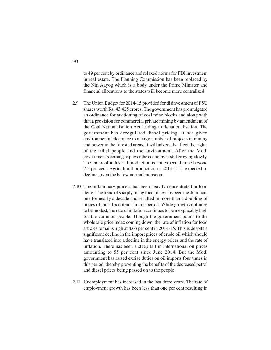to 49 per cent by ordinance and relaxed norms for FDI investment in real estate. The Planning Commission has been replaced by the Niti Aayog which is a body under the Prime Minister and financial allocations to the states will become more centralized.

- 2.9 The Union Budget for 2014-15 provided for disinvestment of PSU shares worth Rs. 43,425 crores. The government has promulgated an ordinance for auctioning of coal mine blocks and along with that a provision for commercial private mining by amendment of the Coal Nationalisation Act leading to denationalisation. The government has deregulated diesel pricing. It has given environmental clearance to a large number of projects in mining and power in the forested areas. It will adversely affect the rights of the tribal people and the environment. After the Modi government's coming to power the economy is still growing slowly. The index of industrial production is not expected to be beyond 2.5 per cent. Agricultural production in 2014-15 is expected to decline given the below normal monsoon.
- 2.10 The inflationary process has been heavily concentrated in food items. The trend of sharply rising food prices has been the dominant one for nearly a decade and resulted in more than a doubling of prices of most food items in this period. While growth continues to be modest, the rate of inflation continues to be inexplicably high for the common people. Though the government points to the wholesale price index coming down, the rate of inflation for food articles remains high at 8.63 per cent in 2014-15. This is despite a significant decline in the import prices of crude oil which should have translated into a decline in the energy prices and the rate of inflation. There has been a steep fall in international oil prices amounting to 55 per cent since June 2014. But the Modi government has raised excise duties on oil imports four times in this period, thereby preventing the benefits of the decreased petrol and diesel prices being passed on to the people.
- 2.11 Unemployment has increased in the last three years. The rate of employment growth has been less than one per cent resulting in

20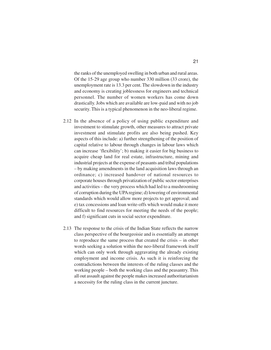the ranks of the unemployed swelling in both urban and rural areas. Of the 15-29 age group who number 330 million (33 crore), the unemployment rate is 13.3 per cent. The slowdown in the industry and economy is creating joblessness for engineers and technical personnel. The number of women workers has come down drastically. Jobs which are available are low-paid and with no job security. This is a typical phenomenon in the neo-liberal regime.

- 2.12 In the absence of a policy of using public expenditure and investment to stimulate growth, other measures to attract private investment and stimulate profits are also being pushed. Key aspects of this include: a) further strengthening of the position of capital relative to labour through changes in labour laws which can increase 'flexibility'; b) making it easier for big business to acquire cheap land for real estate, infrastructure, mining and industrial projects at the expense of peasants and tribal populations – by making amendments in the land acquisition laws through an ordinance; c) increased handover of national resources to corporate houses through privatization of public sector enterprises and activities – the very process which had led to a mushrooming of corruption during the UPA regime; d) lowering of environmental standards which would allow more projects to get approval; and e) tax concessions and loan write-offs which would make it more difficult to find resources for meeting the needs of the people; and f) significant cuts in social sector expenditure.
- 2.13 The response to the crisis of the Indian State reflects the narrow class perspective of the bourgeoisie and is essentially an attempt to reproduce the same process that created the crisis – in other words seeking a solution within the neo-liberal framework itself which can only work through aggravating the already existing employment and income crisis. As such it is reinforcing the contradictions between the interests of the ruling classes and the working people – both the working class and the peasantry. This all out assault against the people makes increased authoritarianism a necessity for the ruling class in the current juncture.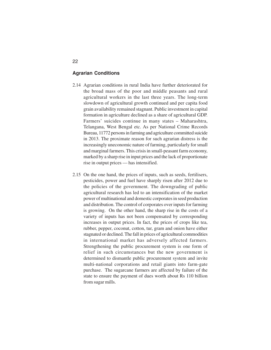# **Agrarian Conditions**

- 2.14 Agrarian conditions in rural India have further deteriorated for the broad mass of the poor and middle peasants and rural agricultural workers in the last three years. The long-term slowdown of agricultural growth continued and per capita food grain availability remained stagnant. Public investment in capital formation in agriculture declined as a share of agricultural GDP. Farmers' suicides continue in many states – Maharashtra, Telangana, West Bengal etc. As per National Crime Records Bureau, 11772 persons in farming and agriculture committed suicide in 2013. The proximate reason for such agrarian distress is the increasingly uneconomic nature of farming, particularly for small and marginal farmers. This crisis in small-peasant farm economy, marked by a sharp rise in input prices and the lack of proportionate rise in output prices — has intensified.
- 2.15 On the one hand, the prices of inputs, such as seeds, fertilisers, pesticides, power and fuel have sharply risen after 2012 due to the policies of the government. The downgrading of public agricultural research has led to an intensification of the market power of multinational and domestic corporates in seed production and distribution. The control of corporates over inputs for farming is growing. On the other hand, the sharp rise in the costs of a variety of inputs has not been compensated by corresponding increases in output prices. In fact, the prices of crops like tea, rubber, pepper, coconut, cotton, tur, gram and onion have either stagnated or declined. The fall in prices of agricultural commodities in international market has adversely affected farmers. Strengthening the public procurement system is one form of relief in such circumstances but the new government is determined to dismantle public procurement system and invite multi-national corporations and retail giants into farm-gate purchase. The sugarcane farmers are affected by failure of the state to ensure the payment of dues worth about Rs 110 billion from sugar mills.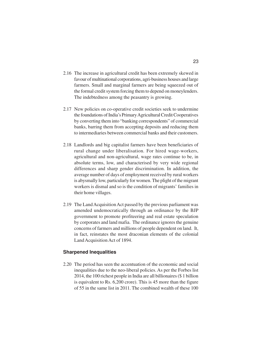- 2.16 The increase in agricultural credit has been extremely skewed in favour of multinational corporations, agri-business houses and large farmers. Small and marginal farmers are being squeezed out of the formal credit system forcing them to depend on moneylenders. The indebtedness among the peasantry is growing.
- 2.17 New policies on co-operative credit societies seek to undermine the foundations of India's Primary Agricultural Credit Cooperatives by converting them into "banking correspondents" of commercial banks, barring them from accepting deposits and reducing them to intermediaries between commercial banks and their customers.
- 2.18 Landlords and big capitalist farmers have been beneficiaries of rural change under liberalisation. For hired wage-workers, agricultural and non-agricultural, wage rates continue to be, in absolute terms, low, and characterised by very wide regional differences and sharp gender discrimination. In addition, the average number of days of employment received by rural workers is abysmally low, particularly for women. The plight of the migrant workers is dismal and so is the condition of migrants' families in their home villages.
- 2.19 The Land Acquisition Act passed by the previous parliament was amended undemocratically through an ordinance by the BJP government to promote profiteering and real estate speculation by corporates and land mafia. The ordinance ignores the genuine concerns of farmers and millions of people dependent on land. It, in fact, reinstates the most draconian elements of the colonial Land Acquisition Act of 1894.

#### **Sharpened Inequalities**

2.20 The period has seen the accentuation of the economic and social inequalities due to the neo-liberal policies. As per the Forbes list 2014, the 100 richest people in India are all billionaires (\$ 1 billion is equivalent to Rs. 6,200 crore). This is 45 more than the figure of 55 in the same list in 2011. The combined wealth of these 100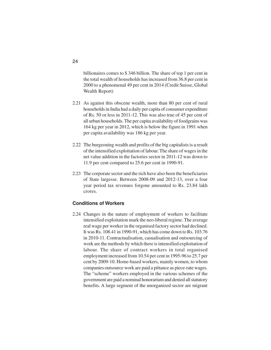billionaires comes to \$ 346 billion. The share of top 1 per cent in the total wealth of households has increased from 36.8 per cent in 2000 to a phenomenal 49 per cent in 2014 (Credit Suisse, Global Wealth Report)

- 2.21 As against this obscene wealth, more than 80 per cent of rural households in India had a daily per capita of consumer expenditure of Rs. 50 or less in 2011-12. This was also true of 45 per cent of all urban households. The per capita availability of foodgrains was 164 kg per year in 2012, which is below the figure in 1991 when per capita availability was 186 kg per year.
- 2.22 The burgeoning wealth and profits of the big capitalists is a result of the intensified exploitation of labour. The share of wages in the net value addition in the factories sector in 2011-12 was down to 11.9 per cent compared to 25.6 per cent in 1990-91.
- 2.23 The corporate sector and the rich have also been the beneficiaries of State largesse. Between 2008-09 and 2012-13, over a four year period tax revenues forgone amounted to Rs. 23.84 lakh crores.

#### **Conditions of Workers**

2.24 Changes in the nature of employment of workers to facilitate intensified exploitation mark the neo-liberal regime. The average real wage per worker in the organised factory sector had declined. It was Rs. 108.41 in 1990-91, which has come down to Rs. 103.76 in 2010-11. Contractualisation, casualisation and outsourcing of work are the methods by which there is intensified exploitation of labour. The share of contract workers in total organised employment increased from 10.54 per cent in 1995-96 to 25.7 per cent by 2009-10. Home-based workers, mainly women, to whom companies outsource work are paid a pittance as piece-rate wages. The "scheme" workers employed in the various schemes of the government are paid a nominal honorarium and denied all statutory benefits. A large segment of the unorganized sector are migrant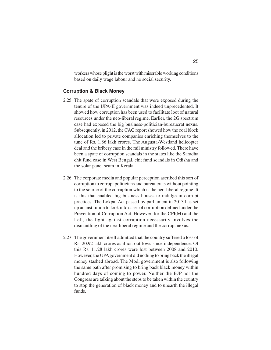workers whose plight is the worst with miserable working conditions based on daily wage labour and no social security.

#### **Corruption & Black Money**

- 2.25 The spate of corruption scandals that were exposed during the tenure of the UPA-II government was indeed unprecedented. It showed how corruption has been used to facilitate loot of natural resources under the neo-liberal regime. Earlier, the 2G spectrum case had exposed the big business-politician-bureaucrat nexus. Subsequently, in 2012, the CAG report showed how the coal block allocation led to private companies enriching themselves to the tune of Rs. 1.86 lakh crores. The Augusta-Westland helicopter deal and the bribery case in the rail ministry followed. There have been a spate of corruption scandals in the states like the Saradha chit fund case in West Bengal, chit fund scandals in Odisha and the solar panel scam in Kerala.
- 2.26 The corporate media and popular perception ascribed this sort of corruption to corrupt politicians and bureaucrats without pointing to the source of the corruption which is the neo-liberal regime. It is this that enabled big business houses to indulge in corrupt practices. The Lokpal Act passed by parliament in 2013 has set up an institution to look into cases of corruption defined under the Prevention of Corruption Act. However, for the CPI(M) and the Left, the fight against corruption necessarily involves the dismantling of the neo-liberal regime and the corrupt nexus.
- 2.27 The government itself admitted that the country suffered a loss of Rs. 20.92 lakh crores as illicit outflows since independence. Of this Rs. 11.28 lakh crores were lost between 2008 and 2010. However, the UPA government did nothing to bring back the illegal money stashed abroad. The Modi government is also following the same path after promising to bring back black money within hundred days of coming to power. Neither the BJP nor the Congress are talking about the steps to be taken within the country to stop the generation of black money and to unearth the illegal funds.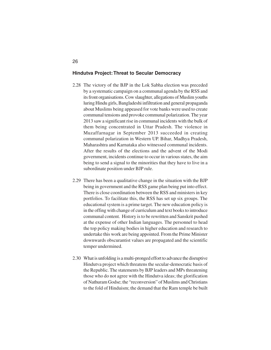#### **Hindutva Project:Threat to Secular Democracy**

- 2.28 The victory of the BJP in the Lok Sabha election was preceded by a systematic campaign on a communal agenda by the RSS and its front organisations. Cow slaughter, allegations of Muslim youths luring Hindu girls, Bangladeshi infiltration and general propaganda about Muslims being appeased for vote banks were used to create communal tensions and provoke communal polarization. The year 2013 saw a significant rise in communal incidents with the bulk of them being concentrated in Uttar Pradesh. The violence in Muzaffarnagar in September 2013 succeeded in creating communal polarization in Western UP. Bihar, Madhya Pradesh, Maharashtra and Karnataka also witnessed communal incidents. After the results of the elections and the advent of the Modi government, incidents continue to occur in various states, the aim being to send a signal to the minorities that they have to live in a subordinate position under BJP rule.
- 2.29 There has been a qualitative change in the situation with the BJP being in government and the RSS game plan being put into effect. There is close coordination between the RSS and ministers in key portfolios. To facilitate this, the RSS has set up six groups. The educational system is a prime target. The new education policy is in the offing with change of curriculum and text books to introduce communal content. History is to be rewritten and Sanskrit pushed at the expense of other Indian languages. The personnel to head the top policy making bodies in higher education and research to undertake this work are being appointed. From the Prime Minister downwards obscurantist values are propagated and the scientific temper undermined.
- 2.30 What is unfolding is a multi-pronged effort to advance the disruptive Hindutva project which threatens the secular-democratic basis of the Republic. The statements by BJP leaders and MPs threatening those who do not agree with the Hindutva ideas; the glorification of Nathuram Godse; the "reconversion" of Muslims and Christians to the fold of Hinduism; the demand that the Ram temple be built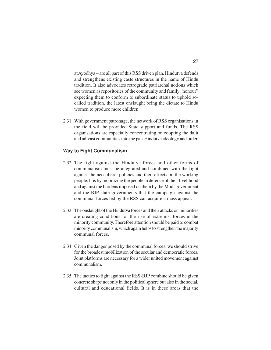at Ayodhya – are all part of this RSS driven plan. Hindutva defends and strengthens existing caste structures in the name of Hindu tradition. It also advocates retrograde patriarchal notions which see women as repositories of the community and family "honour" expecting them to conform to subordinate status to uphold socalled tradition, the latest onslaught being the dictate to Hindu women to produce more children.

2.31 With government patronage, the network of RSS organisations in the field will be provided State support and funds. The RSS organisations are especially concentrating on coopting the dalit and adivasi communities into the pan-Hindutva ideology and order.

## **Way to Fight Communalism**

- 2.32 The fight against the Hindutva forces and other forms of communalism must be integrated and combined with the fight against the neo-liberal policies and their effects on the working people. It is by mobilizing the people in defence of their livelihood and against the burdens imposed on them by the Modi government and the BJP state governments that the campaign against the communal forces led by the RSS can acquire a mass appeal.
- 2.33 The onslaught of the Hindutva forces and their attacks on minorities are creating conditions for the rise of extremist forces in the minority community. Therefore attention should be paid to combat minority communalism, which again helps to strengthen the majority communal forces.
- 2.34 Given the danger posed by the communal forces, we should strive for the broadest mobilization of the secular and democratic forces. Joint platforms are necessary for a wider united movement against communalism.
- 2.35 The tactics to fight against the RSS-BJP combine should be given concrete shape not only in the political sphere but also in the social, cultural and educational fields. It is in these areas that the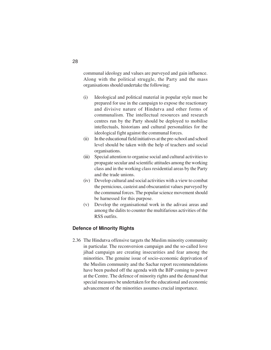communal ideology and values are purveyed and gain influence. Along with the political struggle, the Party and the mass organisations should undertake the following:

- (i) Ideological and political material in popular style must be prepared for use in the campaign to expose the reactionary and divisive nature of Hindutva and other forms of communalism. The intellectual resources and research centres run by the Party should be deployed to mobilise intellectuals, historians and cultural personalities for the ideological fight against the communal forces.
- (ii) In the educational field initiatives at the pre-school and school level should be taken with the help of teachers and social organisations.
- (iii) Special attention to organise social and cultural activities to propagate secular and scientific attitudes among the working class and in the working class residential areas by the Party and the trade unions.
- (iv) Develop cultural and social activities with a view to combat the pernicious, casteist and obscurantist values purveyed by the communal forces. The popular science movement should be harnessed for this purpose.
- (v) Develop the organisational work in the adivasi areas and among the dalits to counter the multifarious activities of the RSS outfits.

## **Defence of Minority Rights**

2.36 The Hindutva offensive targets the Muslim minority community in particular. The reconversion campaign and the so-called love jihad campaign are creating insecurities and fear among the minorities. The genuine issue of socio-economic deprivation of the Muslim community and the Sachar report recommendations have been pushed off the agenda with the BJP coming to power at the Centre. The defence of minority rights and the demand that special measures be undertaken for the educational and economic advancement of the minorities assumes crucial importance.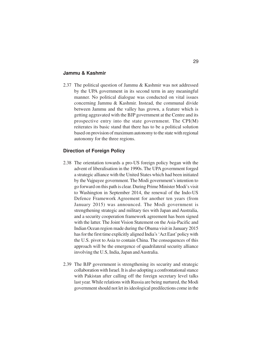## **Jammu & Kashmir**

2.37 The political question of Jammu & Kashmir was not addressed by the UPA government in its second term in any meaningful manner. No political dialogue was conducted on vital issues concerning Jammu & Kashmir. Instead, the communal divide between Jammu and the valley has grown, a feature which is getting aggravated with the BJP government at the Centre and its prospective entry into the state government. The CPI(M) reiterates its basic stand that there has to be a political solution based on provision of maximum autonomy to the state with regional autonomy for the three regions.

# **Direction of Foreign Policy**

- 2.38 The orientation towards a pro-US foreign policy began with the advent of liberalisation in the 1990s. The UPA government forged a strategic alliance with the United States which had been initiated by the Vajpayee government. The Modi government's intention to go forward on this path is clear. During Prime Minister Modi's visit to Washington in September 2014, the renewal of the Indo-US Defence Framework Agreement for another ten years (from January 2015) was announced. The Modi government is strengthening strategic and military ties with Japan and Australia, and a security cooperation framework agreement has been signed with the latter. The Joint Vision Statement on the Asia-Pacific and Indian Ocean region made during the Obama visit in January 2015 has for the first time explicitly aligned India's 'Act East' policy with the U.S. pivot to Asia to contain China. The consequences of this approach will be the emergence of quadrilateral security alliance involving the U.S, India, Japan and Australia.
- 2.39 The BJP government is strengthening its security and strategic collaboration with Israel. It is also adopting a confrontational stance with Pakistan after calling off the foreign secretary level talks last year. While relations with Russia are being nurtured, the Modi government should not let its ideological predilections come in the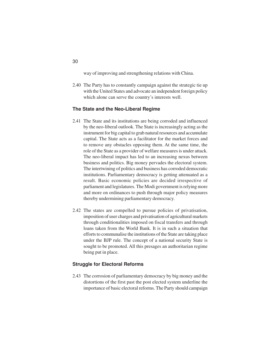way of improving and strengthening relations with China.

2.40 The Party has to constantly campaign against the strategic tie up with the United States and advocate an independent foreign policy which alone can serve the country's interests well.

## **The State and the Neo-Liberal Regime**

- 2.41 The State and its institutions are being corroded and influenced by the neo-liberal outlook. The State is increasingly acting as the instrument for big capital to grab natural resources and accumulate capital. The State acts as a facilitator for the market forces and to remove any obstacles opposing them. At the same time, the role of the State as a provider of welfare measures is under attack. The neo-liberal impact has led to an increasing nexus between business and politics. Big money pervades the electoral system. The intertwining of politics and business has corroded democratic institutions. Parliamentary democracy is getting attenuated as a result. Basic economic policies are decided irrespective of parliament and legislatures. The Modi government is relying more and more on ordinances to push through major policy measures thereby undermining parliamentary democracy.
- 2.42 The states are compelled to pursue policies of privatisation, imposition of user charges and privatisation of agricultural markets through conditionalities imposed on fiscal transfers and through loans taken from the World Bank. It is in such a situation that efforts to communalise the institutions of the State are taking place under the BJP rule. The concept of a national security State is sought to be promoted. All this presages an authoritarian regime being put in place.

### **Struggle for Electoral Reforms**

2.43 The corrosion of parliamentary democracy by big money and the distortions of the first past the post elected system underline the importance of basic electoral reforms. The Party should campaign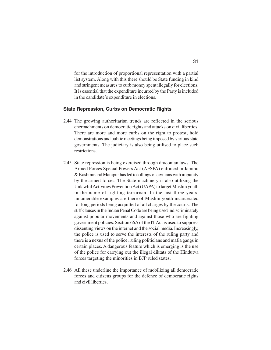for the introduction of proportional representation with a partial list system. Along with this there should be State funding in kind and stringent measures to curb money spent illegally for elections. It is essential that the expenditure incurred by the Party is included in the candidate's expenditure in elections.

## **State Repression, Curbs on Democratic Rights**

- 2.44 The growing authoritarian trends are reflected in the serious encroachments on democratic rights and attacks on civil liberties. There are more and more curbs on the right to protest, hold demonstrations and public meetings being imposed by various state governments. The judiciary is also being utilised to place such restrictions.
- 2.45 State repression is being exercised through draconian laws. The Armed Forces Special Powers Act (AFSPA) enforced in Jammu & Kashmir and Manipur has led to killings of civilians with impunity by the armed forces. The State machinery is also utilizing the Unlawful Activities Prevention Act (UAPA) to target Muslim youth in the name of fighting terrorism. In the last three years, innumerable examples are there of Muslim youth incarcerated for long periods being acquitted of all charges by the courts. The stiff clauses in the Indian Penal Code are being used indiscriminately against popular movements and against those who are fighting government policies. Section 66A of the IT Act is used to suppress dissenting views on the internet and the social media. Increasingly, the police is used to serve the interests of the ruling party and there is a nexus of the police, ruling politicians and mafia gangs in certain places. A dangerous feature which is emerging is the use of the police for carrying out the illegal diktats of the Hindutva forces targeting the minorities in BJP ruled states.
- 2.46 All these underline the importance of mobilizing all democratic forces and citizens groups for the defence of democratic rights and civil liberties.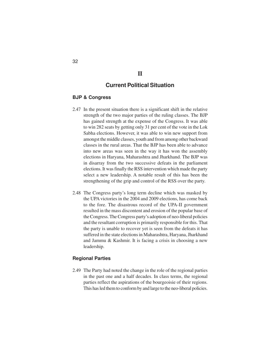# **II**

# **Current Political Situation**

# **BJP & Congress**

- 2.47 In the present situation there is a significant shift in the relative strength of the two major parties of the ruling classes. The BJP has gained strength at the expense of the Congress. It was able to win 282 seats by getting only 31 per cent of the vote in the Lok Sabha elections. However, it was able to win new support from amongst the middle classes, youth and from among other backward classes in the rural areas. That the BJP has been able to advance into new areas was seen in the way it has won the assembly elections in Haryana, Maharashtra and Jharkhand. The BJP was in disarray from the two successive defeats in the parliament elections. It was finally the RSS intervention which made the party select a new leadership. A notable result of this has been the strengthening of the grip and control of the RSS over the party.
- 2.48 The Congress party's long term decline which was masked by the UPA victories in the 2004 and 2009 elections, has come back to the fore. The disastrous record of the UPA-II government resulted in the mass discontent and erosion of the popular base of the Congress. The Congress party's adoption of neo-liberal policies and the resultant corruption is primarily responsible for this. That the party is unable to recover yet is seen from the defeats it has suffered in the state elections in Maharashtra, Haryana, Jharkhand and Jammu & Kashmir. It is facing a crisis in choosing a new leadership.

# **Regional Parties**

2.49 The Party had noted the change in the role of the regional parties in the past one and a half decades. In class terms, the regional parties reflect the aspirations of the bourgeoisie of their regions. This has led them to conform by and large to the neo-liberal policies.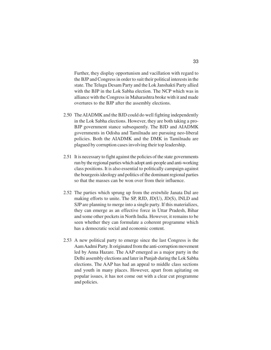Further, they display opportunism and vacillation with regard to the BJP and Congress in order to suit their political interests in the state. The Telugu Desam Party and the Lok Janshakti Party allied with the BJP in the Lok Sabha election. The NCP which was in alliance with the Congress in Maharashtra broke with it and made overtures to the BJP after the assembly elections.

- 2.50 The AIADMK and the BJD could do well fighting independently in the Lok Sabha elections. However, they are both taking a pro-BJP government stance subsequently. The BJD and AIADMK governments in Odisha and Tamilnadu are pursuing neo-liberal policies. Both the AIADMK and the DMK in Tamilnadu are plagued by corruption cases involving their top leadership.
- 2.51 It is necessary to fight against the policies of the state governments run by the regional parties which adopt anti-people and anti-working class positions. It is also essential to politically campaign against the bourgeois ideology and politics of the dominant regional parties so that the masses can be won over from their influence.
- 2.52 The parties which sprung up from the erstwhile Janata Dal are making efforts to unite. The SP, RJD, JD(U), JD(S), INLD and SJP are planning to merge into a single party. If this materializes, they can emerge as an effective force in Uttar Pradesh, Bihar and some other pockets in North India. However, it remains to be seen whether they can formulate a coherent programme which has a democratic social and economic content.
- 2.53 A new political party to emerge since the last Congress is the Aam Aadmi Party. It originated from the anti-corruption movement led by Anna Hazare. The AAP emerged as a major party in the Delhi assembly elections and later in Punjab during the Lok Sabha elections. The AAP has had an appeal to middle class sections and youth in many places. However, apart from agitating on popular issues, it has not come out with a clear cut programme and policies.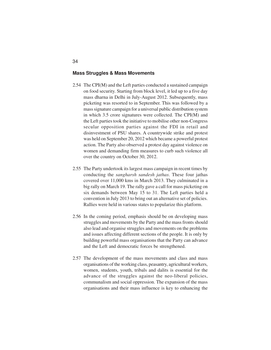#### **Mass Struggles & Mass Movements**

- 2.54 The CPI(M) and the Left parties conducted a sustained campaign on food security. Starting from block level, it led up to a five day mass dharna in Delhi in July-August 2012. Subsequently, mass picketing was resorted to in September. This was followed by a mass signature campaign for a universal public distribution system in which 3.5 crore signatures were collected. The CPI(M) and the Left parties took the initiative to mobilise other non-Congress secular opposition parties against the FDI in retail and disinvestment of PSU shares. A countrywide strike and protest was held on September 20, 2012 which became a powerful protest action. The Party also observed a protest day against violence on women and demanding firm measures to curb such violence all over the country on October 30, 2012.
- 2.55 The Party undertook its largest mass campaign in recent times by conducting the *sangharsh sandesh jathas*. These four jathas covered over 11,000 kms in March 2013. They culminated in a big rally on March 19. The rally gave a call for mass picketing on six demands between May 15 to 31. The Left parties held a convention in July 2013 to bring out an alternative set of policies. Rallies were held in various states to popularize this platform.
- 2.56 In the coming period, emphasis should be on developing mass struggles and movements by the Party and the mass fronts should also lead and organise struggles and movements on the problems and issues affecting different sections of the people. It is only by building powerful mass organisations that the Party can advance and the Left and democratic forces be strengthened.
- 2.57 The development of the mass movements and class and mass organisations of the working class, peasantry, agricultural workers, women, students, youth, tribals and dalits is essential for the advance of the struggles against the neo-liberal policies, communalism and social oppression. The expansion of the mass organisations and their mass influence is key to enhancing the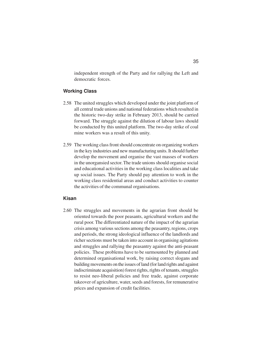independent strength of the Party and for rallying the Left and democratic forces.

#### **Working Class**

- 2.58 The united struggles which developed under the joint platform of all central trade unions and national federations which resulted in the historic two-day strike in February 2013, should be carried forward. The struggle against the dilution of labour laws should be conducted by this united platform. The two-day strike of coal mine workers was a result of this unity.
- 2.59 The working class front should concentrate on organizing workers in the key industries and new manufacturing units. It should further develop the movement and organise the vast masses of workers in the unorgansied sector. The trade unions should organise social and educational activities in the working class localities and take up social issues. The Party should pay attention to work in the working class residential areas and conduct activities to counter the activities of the communal organisations.

### **Kisan**

2.60 The struggles and movements in the agrarian front should be oriented towards the poor peasants, agricultural workers and the rural poor. The differentiated nature of the impact of the agrarian crisis among various sections among the peasantry, regions, crops and periods, the strong ideological influence of the landlords and richer sections must be taken into account in organising agitations and struggles and rallying the peasantry against the anti-peasant policies. These problems have to be surmounted by planned and determined organisational work, by raising correct slogans and building movements on the issues of land (for land rights and against indiscriminate acquisition) forest rights, rights of tenants, struggles to resist neo-liberal policies and free trade, against corporate takeover of agriculture, water, seeds and forests, for remunerative prices and expansion of credit facilities.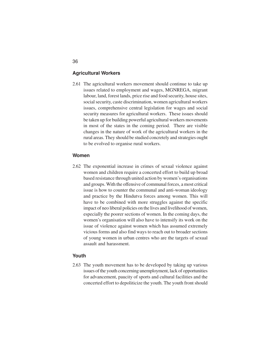#### **Agricultural Workers**

2.61 The agricultural workers movement should continue to take up issues related to employment and wages, MGNREGA, migrant labour, land, forest lands, price rise and food security, house sites, social security, caste discrimination, women agricultural workers issues, comprehensive central legislation for wages and social security measures for agricultural workers. These issues should be taken up for building powerful agricultural workers movements in most of the states in the coming period. There are visible changes in the nature of work of the agricultural workers in the rural areas. They should be studied concretely and strategies ought to be evolved to organise rural workers.

## **Women**

2.62 The exponential increase in crimes of sexual violence against women and children require a concerted effort to build up broad based resistance through united action by women's organisations and groups. With the offensive of communal forces, a most critical issue is how to counter the communal and anti-woman ideology and practice by the Hindutva forces among women. This will have to be combined with more struggles against the specific impact of neo liberal policies on the lives and livelihood of women, especially the poorer sections of women. In the coming days, the women's organisation will also have to intensify its work on the issue of violence against women which has assumed extremely vicious forms and also find ways to reach out to broader sections of young women in urban centres who are the targets of sexual assault and harassment.

## **Youth**

2.63 The youth movement has to be developed by taking up various issues of the youth concerning unemployment, lack of opportunities for advancement, paucity of sports and cultural facilities and the concerted effort to depoliticize the youth. The youth front should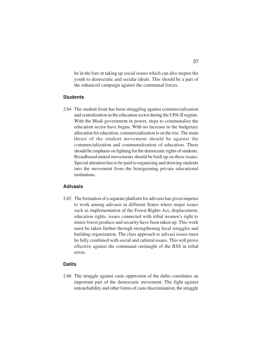be in the fore in taking up social issues which can also inspire the youth to democratic and secular ideals. This should be a part of the enhanced campaign against the communal forces.

## **Students**

2.64 The student front has been struggling against commercialization and centralization in the education sector during the UPA-II regime. With the Modi government in power, steps to communalise the education sector have begun. With no increase in the budgetary allocation for education, commercialization is on the rise. The main thrust of the student movement should be against the commercialization and communalization of education. There should be emphasis on fighting for the democratic rights of students. Broadbased united movements should be built up on these issues. Special attention has to be paid to organizing and drawing students into the movement from the bourgeoning private educational institutions.

#### **Adivasis**

2.65 The formation of a separate platform for adivasis has given impetus to work among adivasis in different States where major issues such as implementation of the Forest Rights Act, displacement, education rights, issues connected with tribal women's right to minor forest produce and security have been taken up. This work must be taken further through strengthening local struggles and building organization. The class approach to adivasi issues must be fully combined with social and cultural issues. This will prove effective against the communal onslaught of the RSS in tribal areas.

#### **Dalits**

2.66 The struggle against caste oppression of the dalits constitutes an important part of the democratic movement. The fight against untouchability and other forms of caste discrimination; the struggle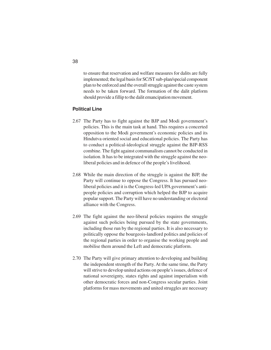to ensure that reservation and welfare measures for dalits are fully implemented; the legal basis for SC/ST sub-plan/special component plan to be enforced and the overall struggle against the caste system needs to be taken forward. The formation of the dalit platform should provide a fillip to the dalit emancipation movement.

# **Political Line**

- 2.67 The Party has to fight against the BJP and Modi government's policies. This is the main task at hand. This requires a concerted opposition to the Modi government's economic policies and its Hindutva oriented social and educational policies. The Party has to conduct a political-ideological struggle against the BJP-RSS combine. The fight against communalism cannot be conducted in isolation. It has to be integrated with the struggle against the neoliberal policies and in defence of the people's livelihood.
- 2.68 While the main direction of the struggle is against the BJP, the Party will continue to oppose the Congress. It has pursued neoliberal policies and it is the Congress-led UPA government's antipeople policies and corruption which helped the BJP to acquire popular support. The Party will have no understanding or electoral alliance with the Congress.
- 2.69 The fight against the neo-liberal policies requires the struggle against such policies being pursued by the state governments, including those run by the regional parties. It is also necessary to politically oppose the bourgeois-landlord politics and policies of the regional parties in order to organise the working people and mobilise them around the Left and democratic platform.
- 2.70 The Party will give primary attention to developing and building the independent strength of the Party. At the same time, the Party will strive to develop united actions on people's issues, defence of national sovereignty, states rights and against imperialism with other democratic forces and non-Congress secular parties. Joint platforms for mass movements and united struggles are necessary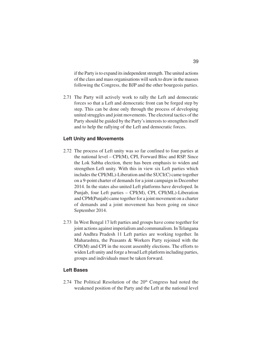if the Party is to expand its independent strength. The united actions of the class and mass organisations will seek to draw in the masses following the Congress, the BJP and the other bourgeois parties.

2.71 The Party will actively work to rally the Left and democratic forces so that a Left and democratic front can be forged step by step. This can be done only through the process of developing united struggles and joint movements. The electoral tactics of the Party should be guided by the Party's interests to strengthen itself and to help the rallying of the Left and democratic forces.

#### **Left Unity and Movements**

- 2.72 The process of Left unity was so far confined to four parties at the national level – CPI(M), CPI, Forward Bloc and RSP. Since the Lok Sabha election, there has been emphasis to widen and strengthen Left unity. With this in view six Left parties which includes the CPI(ML)-Liberation and the SUCI(C) came together on a 9-point charter of demands for a joint campaign in December 2014. In the states also united Left platforms have developed. In Punjab, four Left parties – CPI(M), CPI, CPI(ML)-Liberation and CPM(Punjab) came together for a joint movement on a charter of demands and a joint movement has been going on since September 2014.
- 2.73 In West Bengal 17 left parties and groups have come together for joint actions against imperialism and communalism. In Telangana and Andhra Pradesh 11 Left parties are working together. In Maharashtra, the Peasants & Workers Party rejoined with the CPI(M) and CPI in the recent assembly elections. The efforts to widen Left unity and forge a broad Left platform including parties, groups and individuals must be taken forward.

# **Left Bases**

2.74 The Political Resolution of the 20<sup>th</sup> Congress had noted the weakened position of the Party and the Left at the national level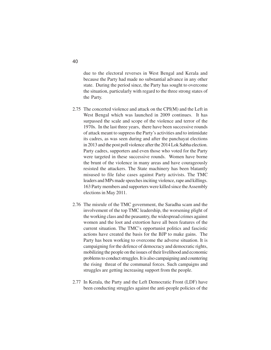due to the electoral reverses in West Bengal and Kerala and because the Party had made no substantial advance in any other state. During the period since, the Party has sought to overcome the situation, particularly with regard to the three strong states of the Party.

- 2.75 The concerted violence and attack on the CPI(M) and the Left in West Bengal which was launched in 2009 continues. It has surpassed the scale and scope of the violence and terror of the 1970s. In the last three years, there have been successive rounds of attack meant to suppress the Party's activities and to intimidate its cadres, as was seen during and after the panchayat elections in 2013 and the post poll violence after the 2014 Lok Sabha election. Party cadres, supporters and even those who voted for the Party were targeted in these successive rounds. Women have borne the brunt of the violence in many areas and have courageously resisted the attackers. The State machinery has been blatantly misused to file false cases against Party activists. The TMC leaders and MPs made speeches inciting violence, rape and killings. 163 Party members and supporters were killed since the Assembly elections in May 2011.
- 2.76 The misrule of the TMC government, the Saradha scam and the involvement of the top TMC leadership, the worsening plight of the working class and the peasantry, the widespread crimes against women and the loot and extortion have all been features of the current situation. The TMC's opportunist politics and fascistic actions have created the basis for the BJP to make gains. The Party has been working to overcome the adverse situation. It is campaigning for the defence of democracy and democratic rights, mobilizing the people on the issues of their livelihood and economic problems to conduct struggles. It is also campaigning and countering the rising threat of the communal forces. Such campaigns and struggles are getting increasing support from the people.
- 2.77 In Kerala, the Party and the Left Democratic Front (LDF) have been conducting struggles against the anti-people policies of the

40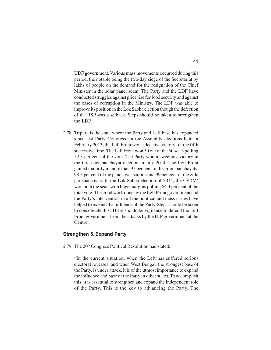UDF government. Various mass movements occurred during this period, the notable being the two-day siege of the Secretariat by lakhs of people on the demand for the resignation of the Chief Minister in the solar panel scam. The Party and the LDF have conducted struggles against price rise for food security and against the cases of corruption in the Ministry. The LDF was able to improve its position in the Lok Sabha election though the defection of the RSP was a setback. Steps should be taken to strengthen the LDF.

2.78 Tripura is the state where the Party and Left base has expanded since last Party Congress. In the Assembly elections held in February 2013, the Left Front won a decisive victory for the fifth successive time. The Left Front won 50 out of the 60 seats polling 52.3 per cent of the vote. The Party won a sweeping victory in the three-tier panchayat election in July 2014. The Left Front gained majority in more than 95 per cent of the gram panchayats, 98.3 per cent of the panchayat samitis and 99 per cent of the zilla parishad seats. In the Lok Sabha election of 2014, the CPI(M) won both the seats with huge margins polling 64.4 per cent of the total vote. The good work done by the Left Front government and the Party's intervention in all the political and mass issues have helped to expand the influence of the Party. Steps should be taken to consolidate this. There should be vigilance to defend the Left Front government from the attacks by the BJP government at the Centre.

#### **Strengthen & Expand Party**

2.79 The 20<sup>th</sup> Congress Political Resolution had stated:

"In the current situation, when the Left has suffered serious electoral reverses, and when West Bengal, the strongest base of the Party, is under attack, it is of the utmost importance to expand the influence and base of the Party in other states. To accomplish this, it is essential to strengthen and expand the independent role of the Party. This is the key to advancing the Party. The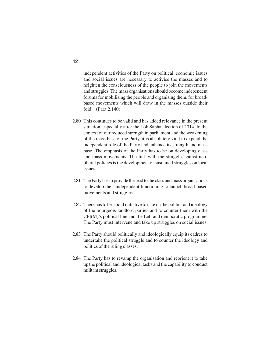independent activities of the Party on political, economic issues and social issues are necessary to activise the masses and to heighten the consciousness of the people to join the movements and struggles. The mass organisations should become independent forums for mobilising the people and organising them, for broadbased movements which will draw in the masses outside their fold." (Para 2.140)

- 2.80 This continues to be valid and has added relevance in the present situation, especially after the Lok Sabha election of 2014. In the context of our reduced strength in parliament and the weakening of the mass base of the Party, it is absolutely vital to expand the independent role of the Party and enhance its strength and mass base. The emphasis of the Party has to be on developing class and mass movements. The link with the struggle against neoliberal policies is the development of sustained struggles on local issues.
- 2.81 The Party has to provide the lead to the class and mass organisations to develop their independent functioning to launch broad-based movements and struggles.
- 2.82 There has to be a bold initiative to take on the politics and ideology of the bourgeois-landlord parties and to counter them with the CPI(M)'s political line and the Left and democratic programme. The Party must intervene and take up struggles on social issues.
- 2.83 The Party should politically and ideologically equip its cadres to undertake the political struggle and to counter the ideology and politics of the ruling classes.
- 2.84 The Party has to revamp the organisation and reorient it to take up the political and ideological tasks and the capability to conduct militant struggles.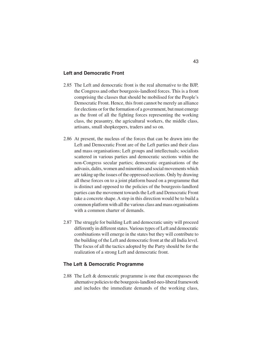## **Left and Democratic Front**

- 2.85 The Left and democratic front is the real alternative to the BJP, the Congress and other bourgeois-landlord forces. This is a front comprising the classes that should be mobilised for the People's Democratic Front. Hence, this front cannot be merely an alliance for elections or for the formation of a government, but must emerge as the front of all the fighting forces representing the working class, the peasantry, the agricultural workers, the middle class, artisans, small shopkeepers, traders and so on.
- 2.86 At present, the nucleus of the forces that can be drawn into the Left and Democratic Front are of the Left parties and their class and mass organisations; Left groups and intellectuals; socialists scattered in various parties and democratic sections within the non-Congress secular parties; democratic organisations of the adivasis, dalits, women and minorities and social movements which are taking up the issues of the oppressed sections. Only by drawing all these forces on to a joint platform based on a programme that is distinct and opposed to the policies of the bourgeois-landlord parties can the movement towards the Left and Democratic Front take a concrete shape. A step in this direction would be to build a common platform with all the various class and mass organisations with a common charter of demands.
- 2.87 The struggle for building Left and democratic unity will proceed differently in different states. Various types of Left and democratic combinations will emerge in the states but they will contribute to the building of the Left and democratic front at the all India level. The focus of all the tactics adopted by the Party should be for the realization of a strong Left and democratic front.

#### **The Left & Democratic Programme**

2.88 The Left & democratic programme is one that encompasses the alternative policies to the bourgeois-landlord-neo-liberal framework and includes the immediate demands of the working class,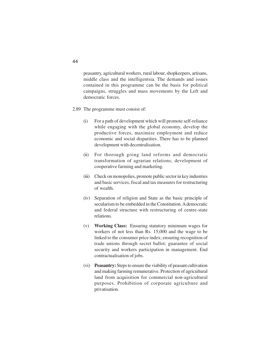peasantry, agricultural workers, rural labour, shopkeepers, artisans, middle class and the intelligentsia. The demands and issues contained in this programme can be the basis for political campaigns, struggles and mass movements by the Left and democratic forces.

- 2.89 The programme must consist of:
	- (i) For a path of development which will promote self-reliance while engaging with the global economy, develop the productive forces, maximize employment and reduce economic and social disparities. There has to be planned development with decentralisation.
	- (ii) For thorough going land reforms and democratic transformation of agrarian relations; development of cooperative farming and marketing.
	- (iii) Check on monopolies, promote public sector in key industries and basic services, fiscal and tax measures for restructuring of wealth.
	- (iv) Separation of religion and State as the basic principle of secularism to be embedded in the Constitution. A democratic and federal structure with restructuring of centre-state relations.
	- (v) **Working Class:** Ensuring statutory minimum wages for workers of not less than Rs. 15,000 and the wage to be linked to the consumer price index; ensuring recognition of trade unions through secret ballot; guarantee of social security and workers participation in management. End contractualisation of jobs.
	- (vi) **Peasantry:** Steps to ensure the viability of peasant cultivation and making farming remunerative. Protection of agricultural land from acquisition for commercial non-agricultural purposes. Prohibition of corporate agriculture and privatisation.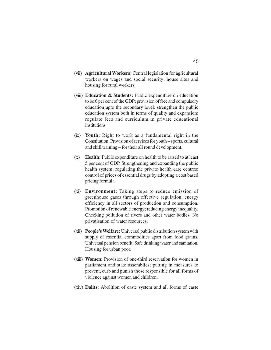- (vii) **Agricultural Workers:** Central legislation for agricultural workers on wages and social security; house sites and housing for rural workers.
- (viii) **Education & Students:** Public expenditure on education to be 6 per cent of the GDP; provision of free and compulsory education upto the secondary level; strengthen the public education system both in terms of quality and expansion; regulate fees and curriculum in private educational institutions.
- (ix) **Youth:** Right to work as a fundamental right in the Constitution. Provision of services for youth – sports, cultural and skill training – for their all round development.
- (x) **Health:** Public expenditure on health to be raised to at least 5 per cent of GDP. Strengthening and expanding the public health system; regulating the private health care centres; control of prices of essential drugs by adopting a cost based pricing formula.
- (xi) **Environment:** Taking steps to reduce emission of greenhouse gases through effective regulation, energy efficiency in all sectors of production and consumption. Promotion of renewable energy; reducing energy inequality. Checking pollution of rivers and other water bodies. No privatisation of water resources.
- (xii) **People's Welfare:** Universal public distribution system with supply of essential commodities apart from food grains. Universal pension benefit. Safe drinking water and sanitation. Housing for urban poor.
- (xiii) **Women:** Provision of one-third reservation for women in parliament and state assemblies; putting in measures to prevent, curb and punish those responsible for all forms of violence against women and children.
- (xiv) **Dalits:** Abolition of caste system and all forms of caste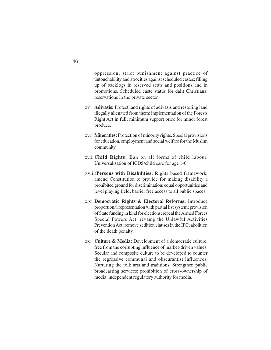oppression; strict punishment against practice of untouchability and atrocities against scheduled castes; filling up of backlogs in reserved seats and positions and in promotions. Scheduled caste status for dalit Christians; reservations in the private sector.

- (xv) **Adivasis:** Protect land rights of adivasis and restoring land illegally alienated from them; implementation of the Forests Right Act in full; minimum support price for minor forest produce.
- (xvi) **Minorities:** Protection of minority rights. Special provisions for education, employment and social welfare for the Muslim community.
- (xvii) **Child Rights:** Ban on all forms of child labour. Universalisation of ICDS/child care for age 1-6.
- (xviii)**Persons with Disabilities:** Rights based framework, amend Constitution to provide for making disability a prohibited ground for discrimination; equal opportunities and level playing field; barrier free access to all public spaces.
- (xix) **Democratic Rights & Electoral Reforms:** Introduce proportional representation with partial list system; provision of State funding in kind for elections; repeal the Armed Forces Special Powers Act; revamp the Unlawful Activities Prevention Act; remove sedition clauses in the IPC; abolition of the death penalty.
- (xx) **Culture & Media:** Development of a democratic culture, free from the corrupting influence of market-driven values. Secular and composite culture to be developed to counter the regressive communal and obscurantist influences. Nurturing the folk arts and traditions. Strengthen public broadcasting services; prohibition of cross-ownership of media; independent regulatory authority for media.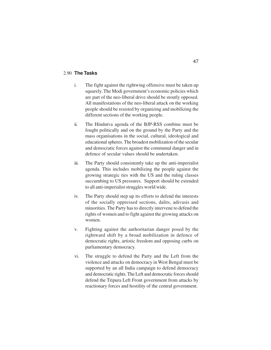# 2.90 **The Tasks**

- i. The fight against the rightwing offensive must be taken up squarely. The Modi government's economic policies which are part of the neo-liberal drive should be stoutly opposed. All manifestations of the neo-liberal attack on the working people should be resisted by organizing and mobilizing the different sections of the working people.
- ii. The Hindutva agenda of the BJP-RSS combine must be fought politically and on the ground by the Party and the mass organisations in the social, cultural, ideological and educational spheres. The broadest mobilization of the secular and democratic forces against the communal danger and in defence of secular values should be undertaken.
- iii. The Party should consistently take up the anti-imperialist agenda. This includes mobilizing the people against the growing strategic ties with the US and the ruling classes succumbing to US pressures. Support should be extended to all anti-imperialist struggles world wide.
- iv. The Party should step up its efforts to defend the interests of the socially oppressed sections, dalits, adivasis and minorities. The Party has to directly intervene to defend the rights of women and to fight against the growing attacks on women.
- v. Fighting against the authoritarian danger posed by the rightward shift by a broad mobilization in defence of democratic rights, artistic freedom and opposing curbs on parliamentary democracy.
- vi. The struggle to defend the Party and the Left from the violence and attacks on democracy in West Bengal must be supported by an all India campaign to defend democracy and democratic rights. The Left and democratic forces should defend the Tripura Left Front government from attacks by reactionary forces and hostility of the central government.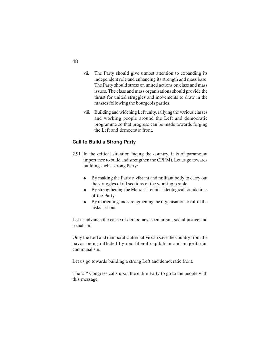- vii. The Party should give utmost attention to expanding its independent role and enhancing its strength and mass base. The Party should stress on united actions on class and mass issues. The class and mass organisations should provide the thrust for united struggles and movements to draw in the masses following the bourgeois parties.
- viii. Building and widening Left unity, rallying the various classes and working people around the Left and democratic programme so that progress can be made towards forging the Left and democratic front.

# **Call to Build a Strong Party**

- 2.91 In the critical situation facing the country, it is of paramount importance to build and strengthen the CPI(M). Let us go towards building such a strong Party:
	- By making the Party a vibrant and militant body to carry out the struggles of all sections of the working people
	- By strengthening the Marxist-Leninist ideological foundations of the Party
	- By reorienting and strengthening the organisation to fulfill the tasks set out

Let us advance the cause of democracy, secularism, social justice and socialism!

Only the Left and democratic alternative can save the country from the havoc being inflicted by neo-liberal capitalism and majoritarian communalism.

Let us go towards building a strong Left and democratic front.

The 21<sup>st</sup> Congress calls upon the entire Party to go to the people with this message.

48